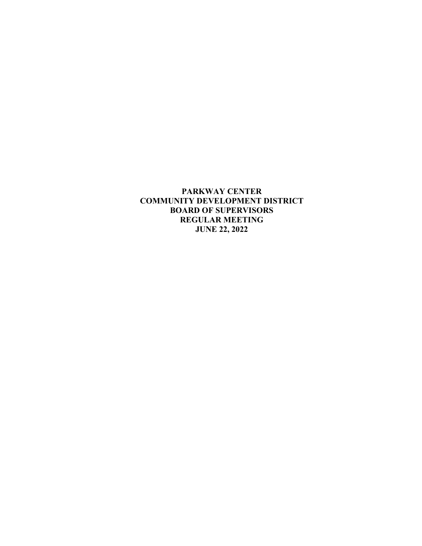**PARKWAY CENTER COMMUNITY DEVELOPMENT DISTRICT BOARD OF SUPERVISORS REGULAR MEETING JUNE 22, 2022**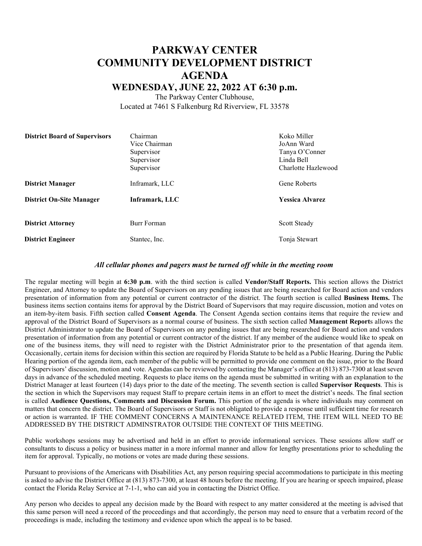## **PARKWAY CENTER COMMUNITY DEVELOPMENT DISTRICT AGENDA WEDNESDAY, JUNE 22, 2022 AT 6:30 p.m.**

The Parkway Center Clubhouse, Located at 7461 S Falkenburg Rd Riverview, FL 33578

| <b>District Board of Supervisors</b> | Chairman<br>Vice Chairman<br>Supervisor<br>Supervisor<br>Supervisor | Koko Miller<br>JoAnn Ward<br>Tanya O'Conner<br>Linda Bell<br>Charlotte Hazlewood |
|--------------------------------------|---------------------------------------------------------------------|----------------------------------------------------------------------------------|
| <b>District Manager</b>              | Inframark, LLC                                                      | Gene Roberts                                                                     |
| <b>District On-Site Manager</b>      | Inframark, LLC                                                      | <b>Yessica Alvarez</b>                                                           |
| <b>District Attorney</b>             | Burr Forman                                                         | Scott Steady                                                                     |
| <b>District Engineer</b>             | Stantec, Inc.                                                       | Tonja Stewart                                                                    |

#### *All cellular phones and pagers must be turned off while in the meeting room*

The regular meeting will begin at **6:30 p.m**. with the third section is called **Vendor/Staff Reports.** This section allows the District Engineer, and Attorney to update the Board of Supervisors on any pending issues that are being researched for Board action and vendors presentation of information from any potential or current contractor of the district. The fourth section is called **Business Items.** The business items section contains items for approval by the District Board of Supervisors that may require discussion, motion and votes on an item-by-item basis. Fifth section called **Consent Agenda**. The Consent Agenda section contains items that require the review and approval of the District Board of Supervisors as a normal course of business. The sixth section called **Management Report**s allows the District Administrator to update the Board of Supervisors on any pending issues that are being researched for Board action and vendors presentation of information from any potential or current contractor of the district. If any member of the audience would like to speak on one of the business items, they will need to register with the District Administrator prior to the presentation of that agenda item. Occasionally, certain items for decision within this section are required by Florida Statute to be held as a Public Hearing. During the Public Hearing portion of the agenda item, each member of the public will be permitted to provide one comment on the issue, prior to the Board of Supervisors' discussion, motion and vote. Agendas can be reviewed by contacting the Manager's office at (813) 873-7300 at least seven days in advance of the scheduled meeting. Requests to place items on the agenda must be submitted in writing with an explanation to the District Manager at least fourteen (14) days prior to the date of the meeting. The seventh section is called **Supervisor Requests**. This is the section in which the Supervisors may request Staff to prepare certain items in an effort to meet the district's needs. The final section is called **Audience Questions, Comments and Discussion Forum.** This portion of the agenda is where individuals may comment on matters that concern the district. The Board of Supervisors or Staff is not obligated to provide a response until sufficient time for research or action is warranted. IF THE COMMENT CONCERNS A MAINTENANCE RELATED ITEM, THE ITEM WILL NEED TO BE ADDRESSED BY THE DISTRICT ADMINSTRATOR OUTSIDE THE CONTEXT OF THIS MEETING.

Public workshops sessions may be advertised and held in an effort to provide informational services. These sessions allow staff or consultants to discuss a policy or business matter in a more informal manner and allow for lengthy presentations prior to scheduling the item for approval. Typically, no motions or votes are made during these sessions.

Pursuant to provisions of the Americans with Disabilities Act, any person requiring special accommodations to participate in this meeting is asked to advise the District Office at (813) 873-7300, at least 48 hours before the meeting. If you are hearing or speech impaired, please contact the Florida Relay Service at 7-1-1, who can aid you in contacting the District Office.

Any person who decides to appeal any decision made by the Board with respect to any matter considered at the meeting is advised that this same person will need a record of the proceedings and that accordingly, the person may need to ensure that a verbatim record of the proceedings is made, including the testimony and evidence upon which the appeal is to be based.